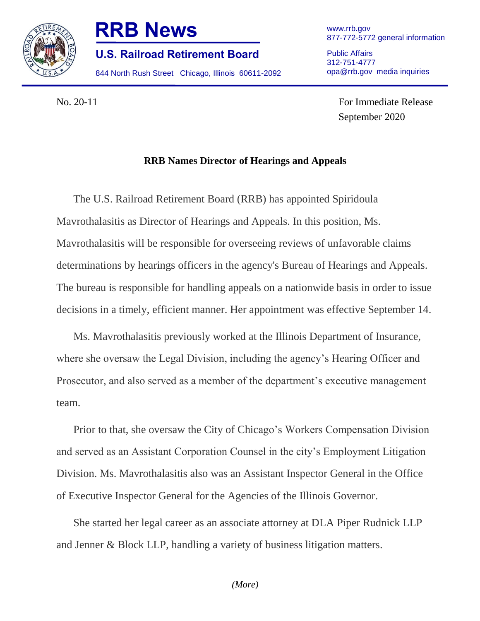

## **RRB News**

**U.S. Railroad Retirement Board**

844 North Rush Street Chicago, Illinois 60611-2092

www.rrb.gov 877-772-5772 general information

Public Affairs 312-751-4777 opa@rrb.gov media inquiries

No. 20-11 For Immediate Release September 2020

## **RRB Names Director of Hearings and Appeals**

The U.S. Railroad Retirement Board (RRB) has appointed Spiridoula Mavrothalasitis as Director of Hearings and Appeals. In this position, Ms. Mavrothalasitis will be responsible for overseeing reviews of unfavorable claims determinations by hearings officers in the agency's Bureau of Hearings and Appeals. The bureau is responsible for handling appeals on a nationwide basis in order to issue decisions in a timely, efficient manner. Her appointment was effective September 14.

Ms. Mavrothalasitis previously worked at the Illinois Department of Insurance, where she oversaw the Legal Division, including the agency's Hearing Officer and Prosecutor, and also served as a member of the department's executive management team.

Prior to that, she oversaw the City of Chicago's Workers Compensation Division and served as an Assistant Corporation Counsel in the city's Employment Litigation Division. Ms. Mavrothalasitis also was an Assistant Inspector General in the Office of Executive Inspector General for the Agencies of the Illinois Governor.

She started her legal career as an associate attorney at DLA Piper Rudnick LLP and Jenner & Block LLP, handling a variety of business litigation matters.